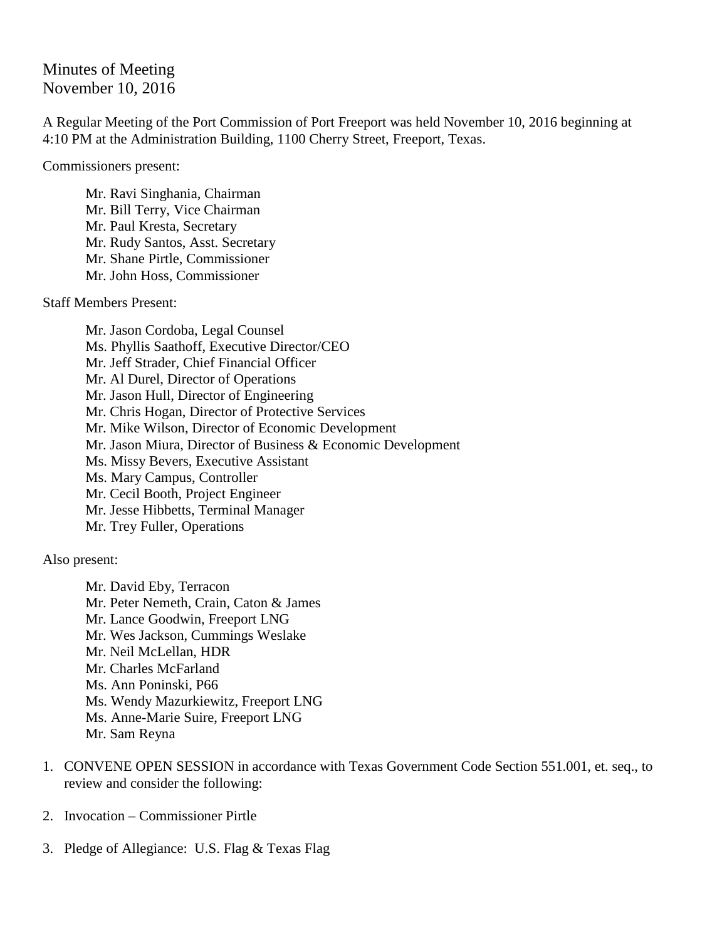## Minutes of Meeting November 10, 2016

A Regular Meeting of the Port Commission of Port Freeport was held November 10, 2016 beginning at 4:10 PM at the Administration Building, 1100 Cherry Street, Freeport, Texas.

Commissioners present:

Mr. Ravi Singhania, Chairman Mr. Bill Terry, Vice Chairman Mr. Paul Kresta, Secretary Mr. Rudy Santos, Asst. Secretary Mr. Shane Pirtle, Commissioner Mr. John Hoss, Commissioner

Staff Members Present:

Mr. Jason Cordoba, Legal Counsel Ms. Phyllis Saathoff, Executive Director/CEO Mr. Jeff Strader, Chief Financial Officer Mr. Al Durel, Director of Operations Mr. Jason Hull, Director of Engineering Mr. Chris Hogan, Director of Protective Services Mr. Mike Wilson, Director of Economic Development Mr. Jason Miura, Director of Business & Economic Development Ms. Missy Bevers, Executive Assistant Ms. Mary Campus, Controller Mr. Cecil Booth, Project Engineer Mr. Jesse Hibbetts, Terminal Manager Mr. Trey Fuller, Operations

Also present:

Mr. David Eby, Terracon Mr. Peter Nemeth, Crain, Caton & James Mr. Lance Goodwin, Freeport LNG Mr. Wes Jackson, Cummings Weslake Mr. Neil McLellan, HDR Mr. Charles McFarland Ms. Ann Poninski, P66 Ms. Wendy Mazurkiewitz, Freeport LNG Ms. Anne-Marie Suire, Freeport LNG Mr. Sam Reyna

- 1. CONVENE OPEN SESSION in accordance with Texas Government Code Section 551.001, et. seq., to review and consider the following:
- 2. Invocation Commissioner Pirtle
- 3. Pledge of Allegiance: U.S. Flag & Texas Flag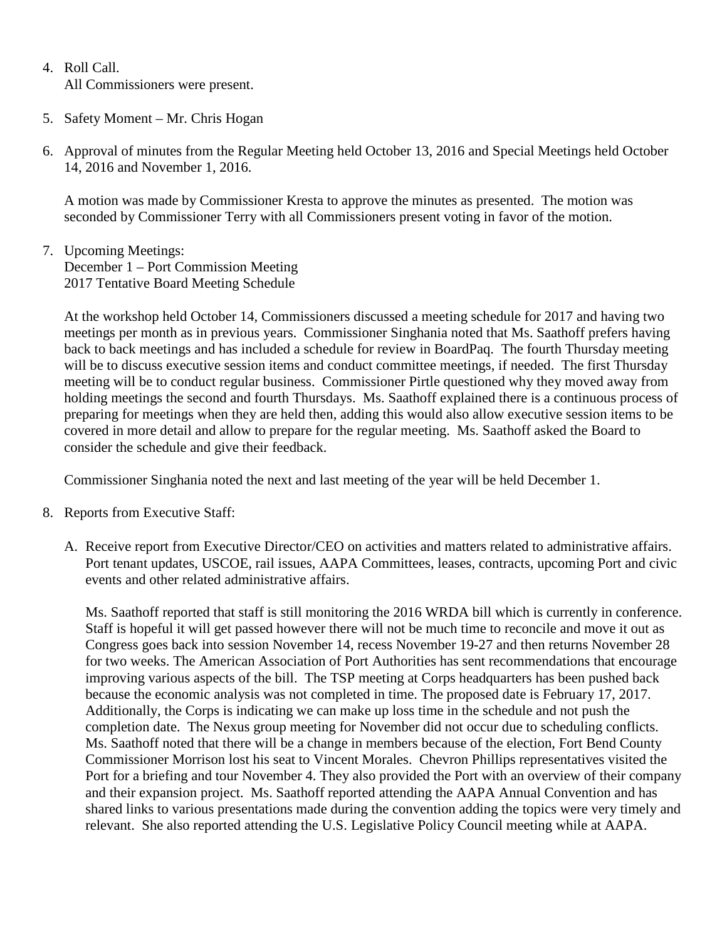- 4. Roll Call. All Commissioners were present.
- 5. Safety Moment Mr. Chris Hogan
- 6. Approval of minutes from the Regular Meeting held October 13, 2016 and Special Meetings held October 14, 2016 and November 1, 2016.

A motion was made by Commissioner Kresta to approve the minutes as presented. The motion was seconded by Commissioner Terry with all Commissioners present voting in favor of the motion.

7. Upcoming Meetings: December 1 – Port Commission Meeting 2017 Tentative Board Meeting Schedule

At the workshop held October 14, Commissioners discussed a meeting schedule for 2017 and having two meetings per month as in previous years. Commissioner Singhania noted that Ms. Saathoff prefers having back to back meetings and has included a schedule for review in BoardPaq. The fourth Thursday meeting will be to discuss executive session items and conduct committee meetings, if needed. The first Thursday meeting will be to conduct regular business. Commissioner Pirtle questioned why they moved away from holding meetings the second and fourth Thursdays. Ms. Saathoff explained there is a continuous process of preparing for meetings when they are held then, adding this would also allow executive session items to be covered in more detail and allow to prepare for the regular meeting. Ms. Saathoff asked the Board to consider the schedule and give their feedback.

Commissioner Singhania noted the next and last meeting of the year will be held December 1.

- 8. Reports from Executive Staff:
	- A. Receive report from Executive Director/CEO on activities and matters related to administrative affairs. Port tenant updates, USCOE, rail issues, AAPA Committees, leases, contracts, upcoming Port and civic events and other related administrative affairs.

Ms. Saathoff reported that staff is still monitoring the 2016 WRDA bill which is currently in conference. Staff is hopeful it will get passed however there will not be much time to reconcile and move it out as Congress goes back into session November 14, recess November 19-27 and then returns November 28 for two weeks. The American Association of Port Authorities has sent recommendations that encourage improving various aspects of the bill. The TSP meeting at Corps headquarters has been pushed back because the economic analysis was not completed in time. The proposed date is February 17, 2017. Additionally, the Corps is indicating we can make up loss time in the schedule and not push the completion date. The Nexus group meeting for November did not occur due to scheduling conflicts. Ms. Saathoff noted that there will be a change in members because of the election, Fort Bend County Commissioner Morrison lost his seat to Vincent Morales. Chevron Phillips representatives visited the Port for a briefing and tour November 4. They also provided the Port with an overview of their company and their expansion project. Ms. Saathoff reported attending the AAPA Annual Convention and has shared links to various presentations made during the convention adding the topics were very timely and relevant. She also reported attending the U.S. Legislative Policy Council meeting while at AAPA.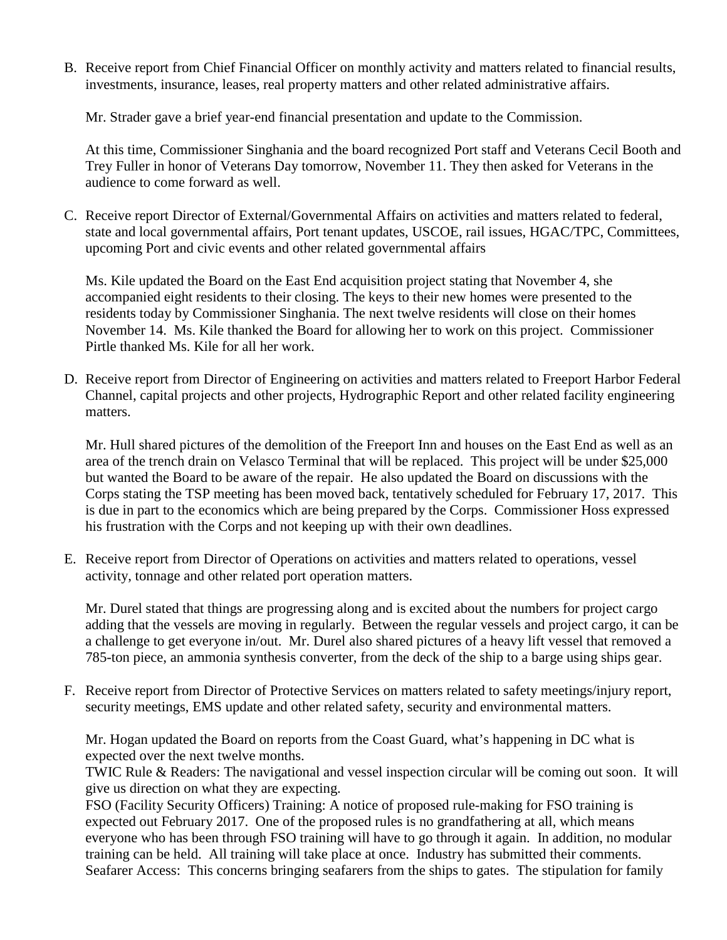B. Receive report from Chief Financial Officer on monthly activity and matters related to financial results, investments, insurance, leases, real property matters and other related administrative affairs.

Mr. Strader gave a brief year-end financial presentation and update to the Commission.

At this time, Commissioner Singhania and the board recognized Port staff and Veterans Cecil Booth and Trey Fuller in honor of Veterans Day tomorrow, November 11. They then asked for Veterans in the audience to come forward as well.

C. Receive report Director of External/Governmental Affairs on activities and matters related to federal, state and local governmental affairs, Port tenant updates, USCOE, rail issues, HGAC/TPC, Committees, upcoming Port and civic events and other related governmental affairs

Ms. Kile updated the Board on the East End acquisition project stating that November 4, she accompanied eight residents to their closing. The keys to their new homes were presented to the residents today by Commissioner Singhania. The next twelve residents will close on their homes November 14. Ms. Kile thanked the Board for allowing her to work on this project. Commissioner Pirtle thanked Ms. Kile for all her work.

D. Receive report from Director of Engineering on activities and matters related to Freeport Harbor Federal Channel, capital projects and other projects, Hydrographic Report and other related facility engineering matters.

Mr. Hull shared pictures of the demolition of the Freeport Inn and houses on the East End as well as an area of the trench drain on Velasco Terminal that will be replaced. This project will be under \$25,000 but wanted the Board to be aware of the repair. He also updated the Board on discussions with the Corps stating the TSP meeting has been moved back, tentatively scheduled for February 17, 2017. This is due in part to the economics which are being prepared by the Corps. Commissioner Hoss expressed his frustration with the Corps and not keeping up with their own deadlines.

E. Receive report from Director of Operations on activities and matters related to operations, vessel activity, tonnage and other related port operation matters.

Mr. Durel stated that things are progressing along and is excited about the numbers for project cargo adding that the vessels are moving in regularly. Between the regular vessels and project cargo, it can be a challenge to get everyone in/out. Mr. Durel also shared pictures of a heavy lift vessel that removed a 785-ton piece, an ammonia synthesis converter, from the deck of the ship to a barge using ships gear.

F. Receive report from Director of Protective Services on matters related to safety meetings/injury report, security meetings, EMS update and other related safety, security and environmental matters.

Mr. Hogan updated the Board on reports from the Coast Guard, what's happening in DC what is expected over the next twelve months.

TWIC Rule & Readers: The navigational and vessel inspection circular will be coming out soon. It will give us direction on what they are expecting.

FSO (Facility Security Officers) Training: A notice of proposed rule-making for FSO training is expected out February 2017. One of the proposed rules is no grandfathering at all, which means everyone who has been through FSO training will have to go through it again. In addition, no modular training can be held. All training will take place at once. Industry has submitted their comments. Seafarer Access: This concerns bringing seafarers from the ships to gates. The stipulation for family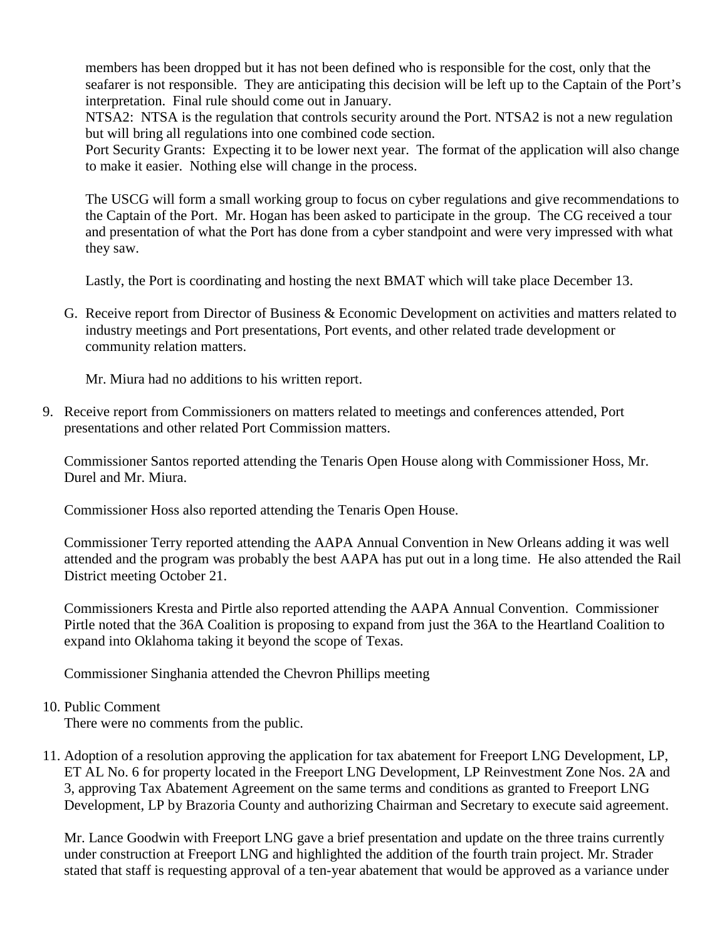members has been dropped but it has not been defined who is responsible for the cost, only that the seafarer is not responsible. They are anticipating this decision will be left up to the Captain of the Port's interpretation. Final rule should come out in January.

NTSA2: NTSA is the regulation that controls security around the Port. NTSA2 is not a new regulation but will bring all regulations into one combined code section.

Port Security Grants: Expecting it to be lower next year. The format of the application will also change to make it easier. Nothing else will change in the process.

The USCG will form a small working group to focus on cyber regulations and give recommendations to the Captain of the Port. Mr. Hogan has been asked to participate in the group. The CG received a tour and presentation of what the Port has done from a cyber standpoint and were very impressed with what they saw.

Lastly, the Port is coordinating and hosting the next BMAT which will take place December 13.

G. Receive report from Director of Business & Economic Development on activities and matters related to industry meetings and Port presentations, Port events, and other related trade development or community relation matters.

Mr. Miura had no additions to his written report.

9. Receive report from Commissioners on matters related to meetings and conferences attended, Port presentations and other related Port Commission matters.

Commissioner Santos reported attending the Tenaris Open House along with Commissioner Hoss, Mr. Durel and Mr. Miura.

Commissioner Hoss also reported attending the Tenaris Open House.

Commissioner Terry reported attending the AAPA Annual Convention in New Orleans adding it was well attended and the program was probably the best AAPA has put out in a long time. He also attended the Rail District meeting October 21.

Commissioners Kresta and Pirtle also reported attending the AAPA Annual Convention. Commissioner Pirtle noted that the 36A Coalition is proposing to expand from just the 36A to the Heartland Coalition to expand into Oklahoma taking it beyond the scope of Texas.

Commissioner Singhania attended the Chevron Phillips meeting

## 10. Public Comment

There were no comments from the public.

11. Adoption of a resolution approving the application for tax abatement for Freeport LNG Development, LP, ET AL No. 6 for property located in the Freeport LNG Development, LP Reinvestment Zone Nos. 2A and 3, approving Tax Abatement Agreement on the same terms and conditions as granted to Freeport LNG Development, LP by Brazoria County and authorizing Chairman and Secretary to execute said agreement.

Mr. Lance Goodwin with Freeport LNG gave a brief presentation and update on the three trains currently under construction at Freeport LNG and highlighted the addition of the fourth train project. Mr. Strader stated that staff is requesting approval of a ten-year abatement that would be approved as a variance under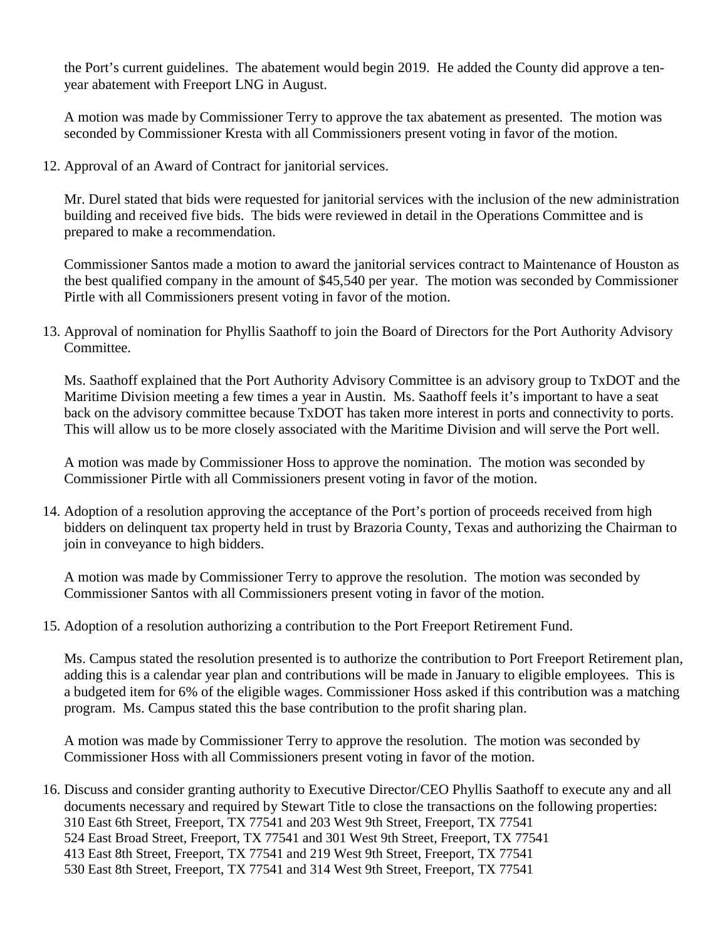the Port's current guidelines. The abatement would begin 2019. He added the County did approve a tenyear abatement with Freeport LNG in August.

A motion was made by Commissioner Terry to approve the tax abatement as presented. The motion was seconded by Commissioner Kresta with all Commissioners present voting in favor of the motion.

12. Approval of an Award of Contract for janitorial services.

Mr. Durel stated that bids were requested for janitorial services with the inclusion of the new administration building and received five bids. The bids were reviewed in detail in the Operations Committee and is prepared to make a recommendation.

Commissioner Santos made a motion to award the janitorial services contract to Maintenance of Houston as the best qualified company in the amount of \$45,540 per year. The motion was seconded by Commissioner Pirtle with all Commissioners present voting in favor of the motion.

13. Approval of nomination for Phyllis Saathoff to join the Board of Directors for the Port Authority Advisory Committee.

Ms. Saathoff explained that the Port Authority Advisory Committee is an advisory group to TxDOT and the Maritime Division meeting a few times a year in Austin. Ms. Saathoff feels it's important to have a seat back on the advisory committee because TxDOT has taken more interest in ports and connectivity to ports. This will allow us to be more closely associated with the Maritime Division and will serve the Port well.

A motion was made by Commissioner Hoss to approve the nomination. The motion was seconded by Commissioner Pirtle with all Commissioners present voting in favor of the motion.

14. Adoption of a resolution approving the acceptance of the Port's portion of proceeds received from high bidders on delinquent tax property held in trust by Brazoria County, Texas and authorizing the Chairman to join in conveyance to high bidders.

A motion was made by Commissioner Terry to approve the resolution. The motion was seconded by Commissioner Santos with all Commissioners present voting in favor of the motion.

15. Adoption of a resolution authorizing a contribution to the Port Freeport Retirement Fund.

Ms. Campus stated the resolution presented is to authorize the contribution to Port Freeport Retirement plan, adding this is a calendar year plan and contributions will be made in January to eligible employees. This is a budgeted item for 6% of the eligible wages. Commissioner Hoss asked if this contribution was a matching program. Ms. Campus stated this the base contribution to the profit sharing plan.

A motion was made by Commissioner Terry to approve the resolution. The motion was seconded by Commissioner Hoss with all Commissioners present voting in favor of the motion.

16. Discuss and consider granting authority to Executive Director/CEO Phyllis Saathoff to execute any and all documents necessary and required by Stewart Title to close the transactions on the following properties: 310 East 6th Street, Freeport, TX 77541 and 203 West 9th Street, Freeport, TX 77541 524 East Broad Street, Freeport, TX 77541 and 301 West 9th Street, Freeport, TX 77541 413 East 8th Street, Freeport, TX 77541 and 219 West 9th Street, Freeport, TX 77541 530 East 8th Street, Freeport, TX 77541 and 314 West 9th Street, Freeport, TX 77541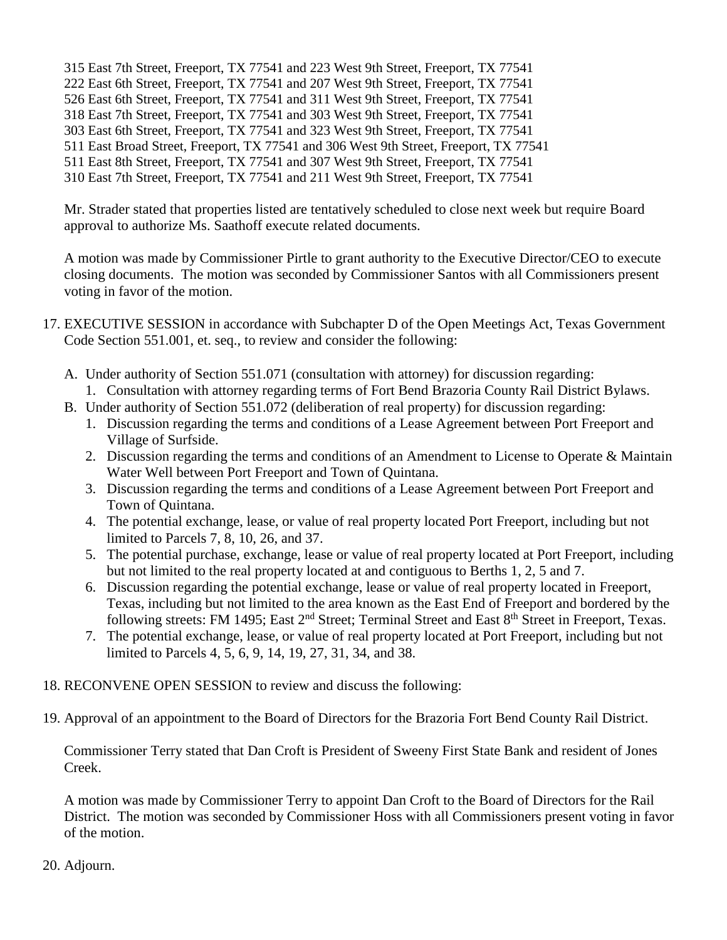315 East 7th Street, Freeport, TX 77541 and 223 West 9th Street, Freeport, TX 77541 222 East 6th Street, Freeport, TX 77541 and 207 West 9th Street, Freeport, TX 77541 526 East 6th Street, Freeport, TX 77541 and 311 West 9th Street, Freeport, TX 77541 318 East 7th Street, Freeport, TX 77541 and 303 West 9th Street, Freeport, TX 77541 303 East 6th Street, Freeport, TX 77541 and 323 West 9th Street, Freeport, TX 77541 511 East Broad Street, Freeport, TX 77541 and 306 West 9th Street, Freeport, TX 77541 511 East 8th Street, Freeport, TX 77541 and 307 West 9th Street, Freeport, TX 77541 310 East 7th Street, Freeport, TX 77541 and 211 West 9th Street, Freeport, TX 77541

Mr. Strader stated that properties listed are tentatively scheduled to close next week but require Board approval to authorize Ms. Saathoff execute related documents.

A motion was made by Commissioner Pirtle to grant authority to the Executive Director/CEO to execute closing documents. The motion was seconded by Commissioner Santos with all Commissioners present voting in favor of the motion.

- 17. EXECUTIVE SESSION in accordance with Subchapter D of the Open Meetings Act, Texas Government Code Section 551.001, et. seq., to review and consider the following:
	- A. Under authority of Section 551.071 (consultation with attorney) for discussion regarding: 1. Consultation with attorney regarding terms of Fort Bend Brazoria County Rail District Bylaws.
	- B. Under authority of Section 551.072 (deliberation of real property) for discussion regarding:
		- 1. Discussion regarding the terms and conditions of a Lease Agreement between Port Freeport and Village of Surfside.
		- 2. Discussion regarding the terms and conditions of an Amendment to License to Operate & Maintain Water Well between Port Freeport and Town of Quintana.
		- 3. Discussion regarding the terms and conditions of a Lease Agreement between Port Freeport and Town of Quintana.
		- 4. The potential exchange, lease, or value of real property located Port Freeport, including but not limited to Parcels 7, 8, 10, 26, and 37.
		- 5. The potential purchase, exchange, lease or value of real property located at Port Freeport, including but not limited to the real property located at and contiguous to Berths 1, 2, 5 and 7.
		- 6. Discussion regarding the potential exchange, lease or value of real property located in Freeport, Texas, including but not limited to the area known as the East End of Freeport and bordered by the following streets: FM 1495; East  $2<sup>nd</sup>$  Street; Terminal Street and East  $8<sup>th</sup>$  Street in Freeport, Texas.
		- 7. The potential exchange, lease, or value of real property located at Port Freeport, including but not limited to Parcels 4, 5, 6, 9, 14, 19, 27, 31, 34, and 38.

## 18. RECONVENE OPEN SESSION to review and discuss the following:

19. Approval of an appointment to the Board of Directors for the Brazoria Fort Bend County Rail District.

Commissioner Terry stated that Dan Croft is President of Sweeny First State Bank and resident of Jones Creek.

A motion was made by Commissioner Terry to appoint Dan Croft to the Board of Directors for the Rail District. The motion was seconded by Commissioner Hoss with all Commissioners present voting in favor of the motion.

20. Adjourn.